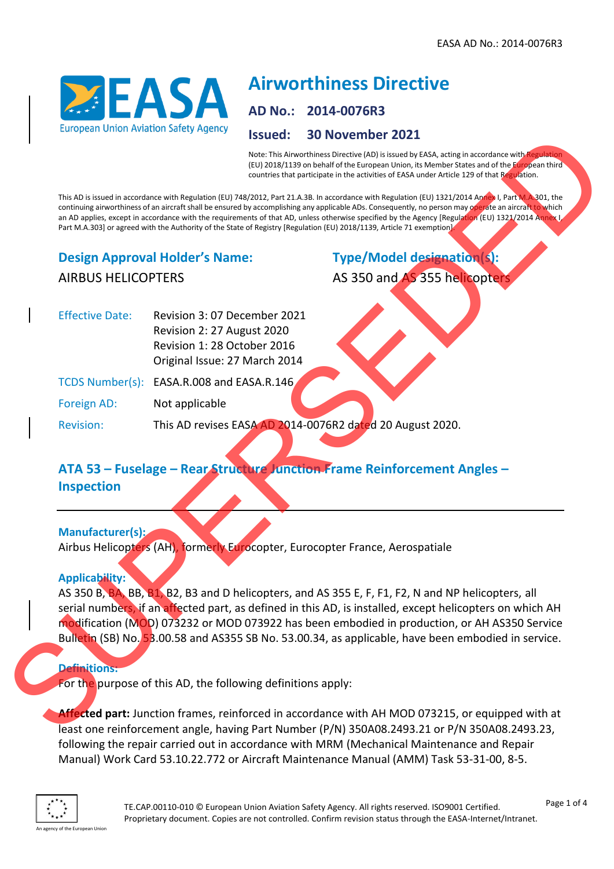

# **Airworthiness Directive**

# **AD No.: 2014-0076R3**

#### **Issued: 30 November 2021**

Note: This Airworthiness Directive (AD) is issued by EASA, acting in accordance with Regulation (EU) 2018/1139 on behalf of the European Union, its Member States and of the European third countries that participate in the activities of EASA under Article 129 of that Regulation.

This AD is issued in accordance with Regulation (EU) 748/2012, Part 21.A.3B. In accordance with Regulation (EU) 1321/2014 Annex I, Part M.A.301, the continuing airworthiness of an aircraft shall be ensured by accomplishing any applicable ADs. Consequently, no person may operate an aircraft to which an AD applies, except in accordance with the requirements of that AD, unless otherwise specified by the Agency [Regulation (EU) 1321/2014 Annex I Part M.A.303] or agreed with the Authority of the State of Registry [Regulation (EU) 2018/1139, Article 71 exemption].

## **Design Approval Holder's Name:** AIRBUS HELICOPTERS

**Type/Model designation(s):**

AS 350 and AS 355 helicopters

| <b>Effective Date:</b> | Revision 3:07 December 2021               |
|------------------------|-------------------------------------------|
|                        | Revision 2: 27 August 2020                |
|                        | Revision 1: 28 October 2016               |
|                        | Original Issue: 27 March 2014             |
|                        | TCDS Number(s): EASA.R.008 and EASA.R.146 |

Foreign AD: Not applicable

Revision: This AD revises EASA AD 2014-0076R2 dated 20 August 2020.

## **ATA 53 – Fuselage – Rear Structure Junction Frame Reinforcement Angles – Inspection**

# **Manufacturer(s):**

Airbus Helicopters (AH), formerly Eurocopter, Eurocopter France, Aerospatiale

#### **Applicability:**

AS 350 B, BA, BB, B1, B2, B3 and D helicopters, and AS 355 E, F, F1, F2, N and NP helicopters, all serial numbers, if an affected part, as defined in this AD, is installed, except helicopters on which AH modification (MOD) 073232 or MOD 073922 has been embodied in production, or AH AS350 Service Bulletin (SB) No. 53.00.58 and AS355 SB No. 53.00.34, as applicable, have been embodied in service. Such as the control of the AD, the control of the AD (Mariam Capital and Capital and Capital and Capital and Capital and Capital and Capital and Capital and Capital and Capital and Capital and Capital and Capital and Capit

#### **Definitions:**

For the purpose of this AD, the following definitions apply:

**Affected part:** Junction frames, reinforced in accordance with AH MOD 073215, or equipped with at least one reinforcement angle, having Part Number (P/N) 350A08.2493.21 or P/N 350A08.2493.23, following the repair carried out in accordance with MRM (Mechanical Maintenance and Repair Manual) Work Card 53.10.22.772 or Aircraft Maintenance Manual (AMM) Task 53-31-00, 8-5.

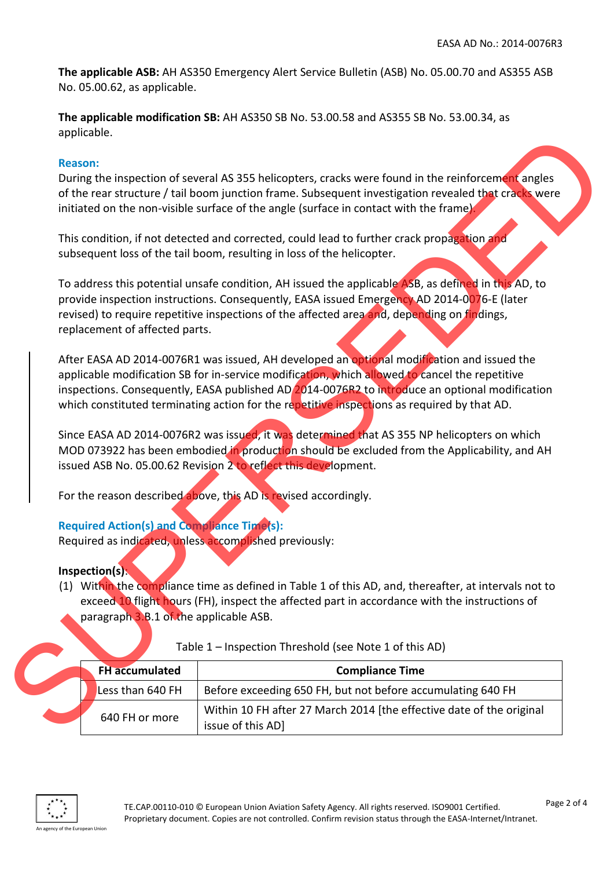**The applicable ASB:** AH AS350 Emergency Alert Service Bulletin (ASB) No. 05.00.70 and AS355 ASB No. 05.00.62, as applicable.

**The applicable modification SB:** AH AS350 SB No. 53.00.58 and AS355 SB No. 53.00.34, as applicable.

#### **Reason:**

#### **Required Action(s) and Compliance Time(s):**

#### **Inspection(s)**:

| applicable.                                                                                                 |                                                                                                                                                                                                                                                                                                                                                                                               |
|-------------------------------------------------------------------------------------------------------------|-----------------------------------------------------------------------------------------------------------------------------------------------------------------------------------------------------------------------------------------------------------------------------------------------------------------------------------------------------------------------------------------------|
| <b>Reason:</b>                                                                                              | During the inspection of several AS 355 helicopters, cracks were found in the reinforcement angles<br>of the rear structure / tail boom junction frame. Subsequent investigation revealed that cracks were                                                                                                                                                                                    |
|                                                                                                             | initiated on the non-visible surface of the angle (surface in contact with the frame).<br>This condition, if not detected and corrected, could lead to further crack propagation and<br>subsequent loss of the tail boom, resulting in loss of the helicopter.                                                                                                                                |
| replacement of affected parts.                                                                              | To address this potential unsafe condition, AH issued the applicable ASB, as defined in this AD, to<br>provide inspection instructions. Consequently, EASA issued Emergency AD 2014-0076-E (later<br>revised) to require repetitive inspections of the affected area and, depending on findings,                                                                                              |
|                                                                                                             | After EASA AD 2014-0076R1 was issued, AH developed an optional modification and issued the<br>applicable modification SB for in-service modification, which allowed to cancel the repetitive<br>inspections. Consequently, EASA published AD 2014-0076R2 to introduce an optional modification<br>which constituted terminating action for the repetitive inspections as required by that AD. |
|                                                                                                             | Since EASA AD 2014-0076R2 was issued, it was determined that AS 355 NP helicopters on which<br>MOD 073922 has been embodied in production should be excluded from the Applicability, and AH<br>issued ASB No. 05.00.62 Revision 2 to reflect this development.                                                                                                                                |
|                                                                                                             | For the reason described above, this AD is revised accordingly.                                                                                                                                                                                                                                                                                                                               |
| <b>Required Action(s) and Compliance Time(s):</b><br>Required as indicated, unless accomplished previously: |                                                                                                                                                                                                                                                                                                                                                                                               |
| Inspection(s):<br>paragraph 3.B.1 of the applicable ASB.                                                    | (1) Within the compliance time as defined in Table 1 of this AD, and, thereafter, at intervals not to<br>exceed 10 flight hours (FH), inspect the affected part in accordance with the instructions of                                                                                                                                                                                        |
|                                                                                                             | Table 1 - Inspection Threshold (see Note 1 of this AD)                                                                                                                                                                                                                                                                                                                                        |
| <b>FH</b> accumulated                                                                                       | <b>Compliance Time</b>                                                                                                                                                                                                                                                                                                                                                                        |
| Less than 640 FH                                                                                            | Before exceeding 650 FH, but not before accumulating 640 FH                                                                                                                                                                                                                                                                                                                                   |
| 640 FH or more                                                                                              | Within 10 FH after 27 March 2014 [the effective date of the original<br>issue of this AD]                                                                                                                                                                                                                                                                                                     |
|                                                                                                             |                                                                                                                                                                                                                                                                                                                                                                                               |

Table 1 – Inspection Threshold (see Note 1 of this AD)

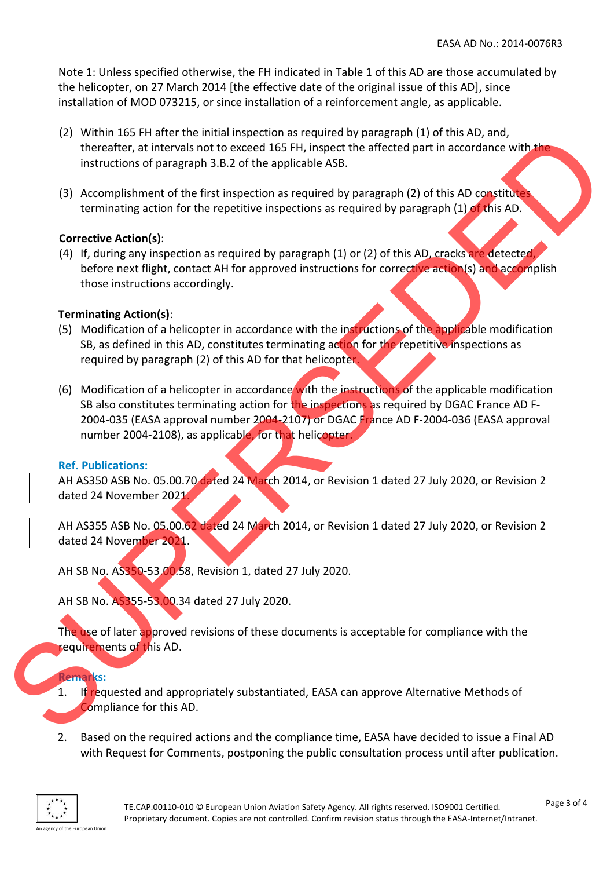Note 1: Unless specified otherwise, the FH indicated in Table 1 of this AD are those accumulated by the helicopter, on 27 March 2014 [the effective date of the original issue of this AD], since installation of MOD 073215, or since installation of a reinforcement angle, as applicable.

- (2) Within 165 FH after the initial inspection as required by paragraph (1) of this AD, and, thereafter, at intervals not to exceed 165 FH, inspect the affected part in accordance with the instructions of paragraph 3.B.2 of the applicable ASB.
- (3) Accomplishment of the first inspection as required by paragraph  $(2)$  of this AD constitute terminating action for the repetitive inspections as required by paragraph (1) of this AD.

#### **Corrective Action(s)**:

(4) If, during any inspection as required by paragraph (1) or (2) of this AD, cracks are detected, before next flight, contact AH for approved instructions for corrective action(s) and accomplish those instructions accordingly.

#### **Terminating Action(s)**:

- (5) Modification of a helicopter in accordance with the instructions of the applicable modification SB, as defined in this AD, constitutes terminating action for the repetitive inspections as required by paragraph (2) of this AD for that helicopter.
- (6) Modification of a helicopter in accordance with the instructions of the applicable modification SB also constitutes terminating action for the inspections as required by DGAC France AD F-2004-035 (EASA approval number 2004-2107) or DGAC France AD F-2004-036 (EASA approval number 2004-2108), as applicable, for that helicopter. Let when the the transmission of the applicable ASS.<br>
Supervisors of the properties of the signal control in the such and the method of the supervisors of the supervisors of the supervisors of the supervisors of the superv

#### **Ref. Publications:**

AH AS350 ASB No. 05.00.70 dated 24 March 2014, or Revision 1 dated 27 July 2020, or Revision 2 dated 24 November 2021.

AH AS355 ASB No. 05.00.62 dated 24 March 2014, or Revision 1 dated 27 July 2020, or Revision 2 dated 24 November 2021.

AH SB No. AS350-53.00.58, Revision 1, dated 27 July 2020.

AH SB No. AS355-53.00.34 dated 27 July 2020.

The use of later approved revisions of these documents is acceptable for compliance with the requirements of this AD.

#### **Remarks:**

- 1. If requested and appropriately substantiated, EASA can approve Alternative Methods of Compliance for this AD.
- 2. Based on the required actions and the compliance time, EASA have decided to issue a Final AD with Request for Comments, postponing the public consultation process until after publication.